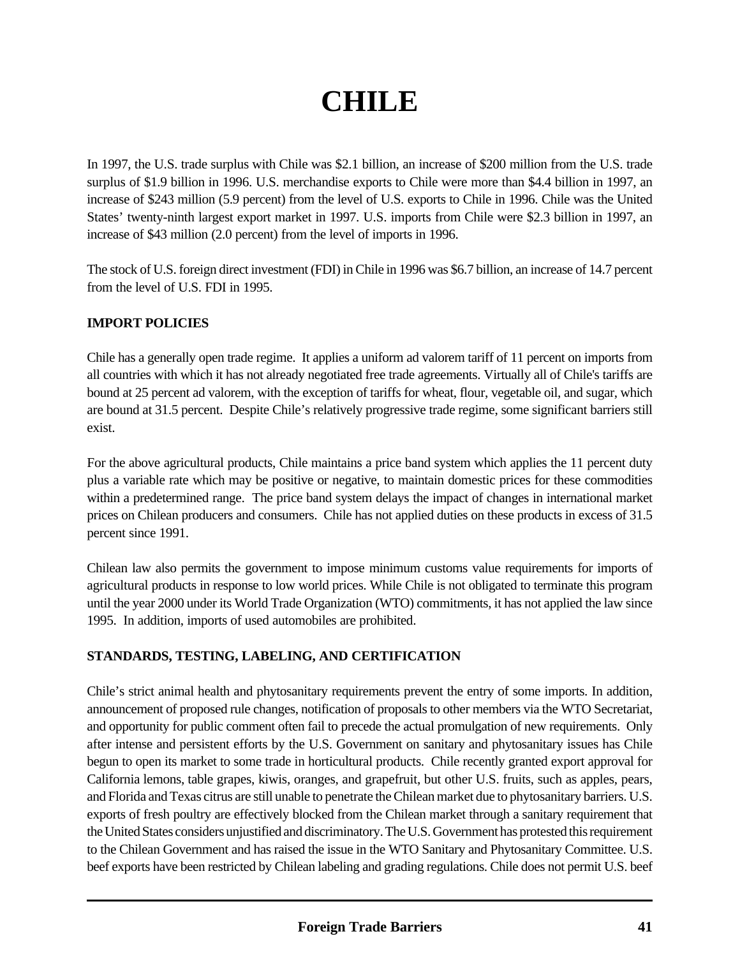# **CHILE**

In 1997, the U.S. trade surplus with Chile was \$2.1 billion, an increase of \$200 million from the U.S. trade surplus of \$1.9 billion in 1996. U.S. merchandise exports to Chile were more than \$4.4 billion in 1997, an increase of \$243 million (5.9 percent) from the level of U.S. exports to Chile in 1996. Chile was the United States' twenty-ninth largest export market in 1997. U.S. imports from Chile were \$2.3 billion in 1997, an increase of \$43 million (2.0 percent) from the level of imports in 1996.

The stock of U.S. foreign direct investment (FDI) in Chile in 1996 was \$6.7 billion, an increase of 14.7 percent from the level of U.S. FDI in 1995.

# **IMPORT POLICIES**

Chile has a generally open trade regime. It applies a uniform ad valorem tariff of 11 percent on imports from all countries with which it has not already negotiated free trade agreements. Virtually all of Chile's tariffs are bound at 25 percent ad valorem, with the exception of tariffs for wheat, flour, vegetable oil, and sugar, which are bound at 31.5 percent. Despite Chile's relatively progressive trade regime, some significant barriers still exist.

For the above agricultural products, Chile maintains a price band system which applies the 11 percent duty plus a variable rate which may be positive or negative, to maintain domestic prices for these commodities within a predetermined range. The price band system delays the impact of changes in international market prices on Chilean producers and consumers. Chile has not applied duties on these products in excess of 31.5 percent since 1991.

Chilean law also permits the government to impose minimum customs value requirements for imports of agricultural products in response to low world prices. While Chile is not obligated to terminate this program until the year 2000 under its World Trade Organization (WTO) commitments, it has not applied the law since 1995. In addition, imports of used automobiles are prohibited.

# **STANDARDS, TESTING, LABELING, AND CERTIFICATION**

Chile's strict animal health and phytosanitary requirements prevent the entry of some imports. In addition, announcement of proposed rule changes, notification of proposals to other members via the WTO Secretariat, and opportunity for public comment often fail to precede the actual promulgation of new requirements. Only after intense and persistent efforts by the U.S. Government on sanitary and phytosanitary issues has Chile begun to open its market to some trade in horticultural products. Chile recently granted export approval for California lemons, table grapes, kiwis, oranges, and grapefruit, but other U.S. fruits, such as apples, pears, and Florida and Texas citrus are still unable to penetrate the Chilean market due to phytosanitary barriers. U.S. exports of fresh poultry are effectively blocked from the Chilean market through a sanitary requirement that the United States considers unjustified and discriminatory. The U.S. Government has protested this requirement to the Chilean Government and has raised the issue in the WTO Sanitary and Phytosanitary Committee. U.S. beef exports have been restricted by Chilean labeling and grading regulations. Chile does not permit U.S. beef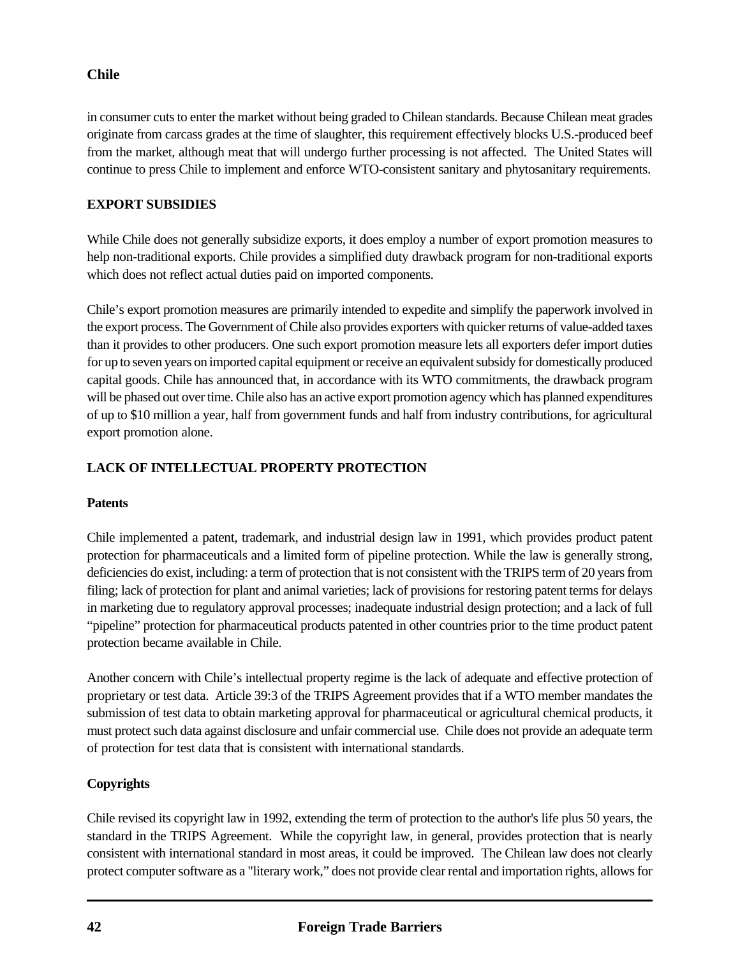# **Chile**

in consumer cuts to enter the market without being graded to Chilean standards. Because Chilean meat grades originate from carcass grades at the time of slaughter, this requirement effectively blocks U.S.-produced beef from the market, although meat that will undergo further processing is not affected. The United States will continue to press Chile to implement and enforce WTO-consistent sanitary and phytosanitary requirements.

# **EXPORT SUBSIDIES**

While Chile does not generally subsidize exports, it does employ a number of export promotion measures to help non-traditional exports. Chile provides a simplified duty drawback program for non-traditional exports which does not reflect actual duties paid on imported components.

Chile's export promotion measures are primarily intended to expedite and simplify the paperwork involved in the export process. The Government of Chile also provides exporters with quicker returns of value-added taxes than it provides to other producers. One such export promotion measure lets all exporters defer import duties for up to seven years on imported capital equipment or receive an equivalent subsidy for domestically produced capital goods. Chile has announced that, in accordance with its WTO commitments, the drawback program will be phased out over time. Chile also has an active export promotion agency which has planned expenditures of up to \$10 million a year, half from government funds and half from industry contributions, for agricultural export promotion alone.

# **LACK OF INTELLECTUAL PROPERTY PROTECTION**

# **Patents**

Chile implemented a patent, trademark, and industrial design law in 1991, which provides product patent protection for pharmaceuticals and a limited form of pipeline protection. While the law is generally strong, deficiencies do exist, including: a term of protection that is not consistent with the TRIPS term of 20 years from filing; lack of protection for plant and animal varieties; lack of provisions for restoring patent terms for delays in marketing due to regulatory approval processes; inadequate industrial design protection; and a lack of full "pipeline" protection for pharmaceutical products patented in other countries prior to the time product patent protection became available in Chile.

Another concern with Chile's intellectual property regime is the lack of adequate and effective protection of proprietary or test data. Article 39:3 of the TRIPS Agreement provides that if a WTO member mandates the submission of test data to obtain marketing approval for pharmaceutical or agricultural chemical products, it must protect such data against disclosure and unfair commercial use. Chile does not provide an adequate term of protection for test data that is consistent with international standards.

# **Copyrights**

Chile revised its copyright law in 1992, extending the term of protection to the author's life plus 50 years, the standard in the TRIPS Agreement. While the copyright law, in general, provides protection that is nearly consistent with international standard in most areas, it could be improved. The Chilean law does not clearly protect computer software as a "literary work," does not provide clear rental and importation rights, allows for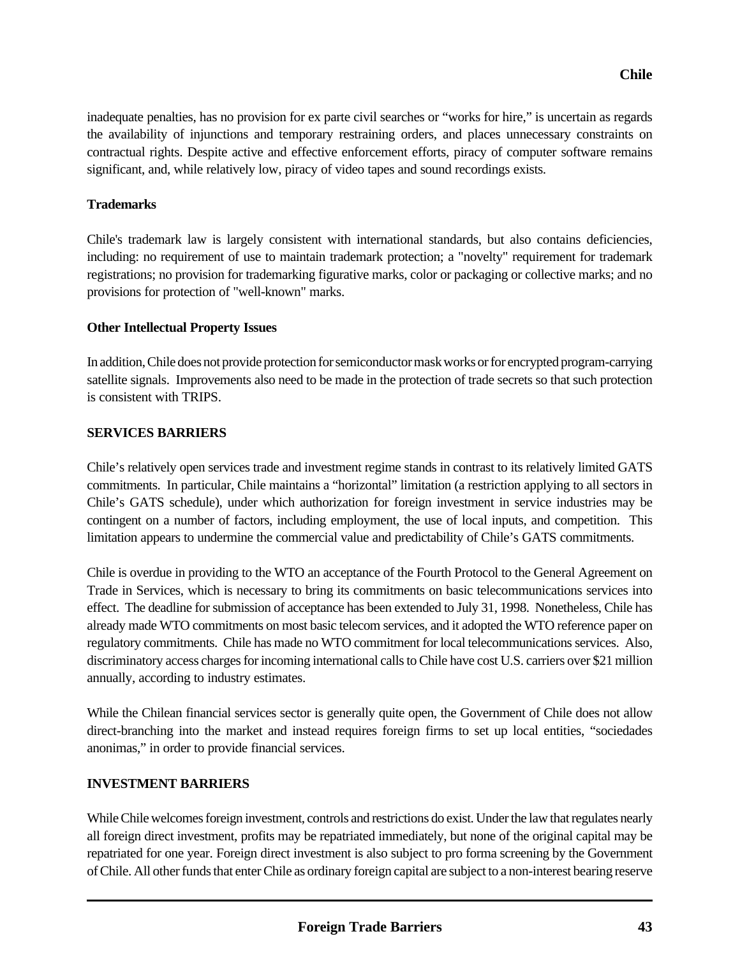inadequate penalties, has no provision for ex parte civil searches or "works for hire," is uncertain as regards the availability of injunctions and temporary restraining orders, and places unnecessary constraints on contractual rights. Despite active and effective enforcement efforts, piracy of computer software remains significant, and, while relatively low, piracy of video tapes and sound recordings exists.

#### **Trademarks**

Chile's trademark law is largely consistent with international standards, but also contains deficiencies, including: no requirement of use to maintain trademark protection; a "novelty" requirement for trademark registrations; no provision for trademarking figurative marks, color or packaging or collective marks; and no provisions for protection of "well-known" marks.

### **Other Intellectual Property Issues**

In addition, Chile does not provide protection for semiconductor mask works or for encrypted program-carrying satellite signals. Improvements also need to be made in the protection of trade secrets so that such protection is consistent with TRIPS.

### **SERVICES BARRIERS**

Chile's relatively open services trade and investment regime stands in contrast to its relatively limited GATS commitments. In particular, Chile maintains a "horizontal" limitation (a restriction applying to all sectors in Chile's GATS schedule), under which authorization for foreign investment in service industries may be contingent on a number of factors, including employment, the use of local inputs, and competition. This limitation appears to undermine the commercial value and predictability of Chile's GATS commitments.

Chile is overdue in providing to the WTO an acceptance of the Fourth Protocol to the General Agreement on Trade in Services, which is necessary to bring its commitments on basic telecommunications services into effect. The deadline for submission of acceptance has been extended to July 31, 1998. Nonetheless, Chile has already made WTO commitments on most basic telecom services, and it adopted the WTO reference paper on regulatory commitments. Chile has made no WTO commitment for local telecommunications services. Also, discriminatory access charges for incoming international calls to Chile have cost U.S. carriers over \$21 million annually, according to industry estimates.

While the Chilean financial services sector is generally quite open, the Government of Chile does not allow direct-branching into the market and instead requires foreign firms to set up local entities, "sociedades anonimas," in order to provide financial services.

# **INVESTMENT BARRIERS**

While Chile welcomes foreign investment, controls and restrictions do exist. Under the law that regulates nearly all foreign direct investment, profits may be repatriated immediately, but none of the original capital may be repatriated for one year. Foreign direct investment is also subject to pro forma screening by the Government of Chile. All other funds that enter Chile as ordinary foreign capital are subject to a non-interest bearing reserve